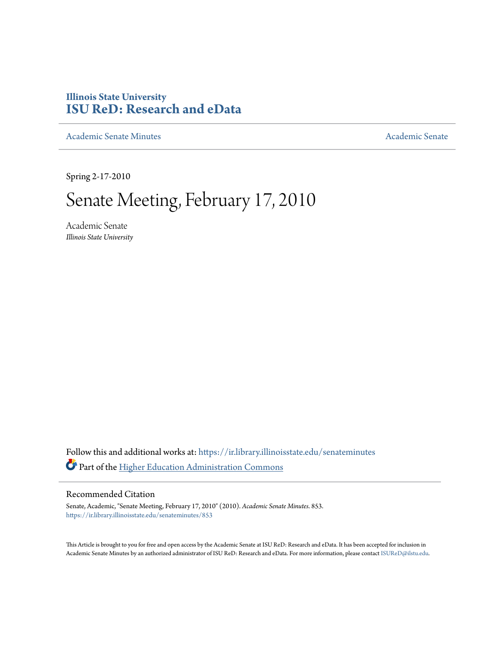# **Illinois State University [ISU ReD: Research and eData](https://ir.library.illinoisstate.edu?utm_source=ir.library.illinoisstate.edu%2Fsenateminutes%2F853&utm_medium=PDF&utm_campaign=PDFCoverPages)**

[Academic Senate Minutes](https://ir.library.illinoisstate.edu/senateminutes?utm_source=ir.library.illinoisstate.edu%2Fsenateminutes%2F853&utm_medium=PDF&utm_campaign=PDFCoverPages) [Academic Senate](https://ir.library.illinoisstate.edu/senate?utm_source=ir.library.illinoisstate.edu%2Fsenateminutes%2F853&utm_medium=PDF&utm_campaign=PDFCoverPages) Academic Senate

Spring 2-17-2010

# Senate Meeting, February 17, 2010

Academic Senate *Illinois State University*

Follow this and additional works at: [https://ir.library.illinoisstate.edu/senateminutes](https://ir.library.illinoisstate.edu/senateminutes?utm_source=ir.library.illinoisstate.edu%2Fsenateminutes%2F853&utm_medium=PDF&utm_campaign=PDFCoverPages) Part of the [Higher Education Administration Commons](http://network.bepress.com/hgg/discipline/791?utm_source=ir.library.illinoisstate.edu%2Fsenateminutes%2F853&utm_medium=PDF&utm_campaign=PDFCoverPages)

#### Recommended Citation

Senate, Academic, "Senate Meeting, February 17, 2010" (2010). *Academic Senate Minutes*. 853. [https://ir.library.illinoisstate.edu/senateminutes/853](https://ir.library.illinoisstate.edu/senateminutes/853?utm_source=ir.library.illinoisstate.edu%2Fsenateminutes%2F853&utm_medium=PDF&utm_campaign=PDFCoverPages)

This Article is brought to you for free and open access by the Academic Senate at ISU ReD: Research and eData. It has been accepted for inclusion in Academic Senate Minutes by an authorized administrator of ISU ReD: Research and eData. For more information, please contact [ISUReD@ilstu.edu.](mailto:ISUReD@ilstu.edu)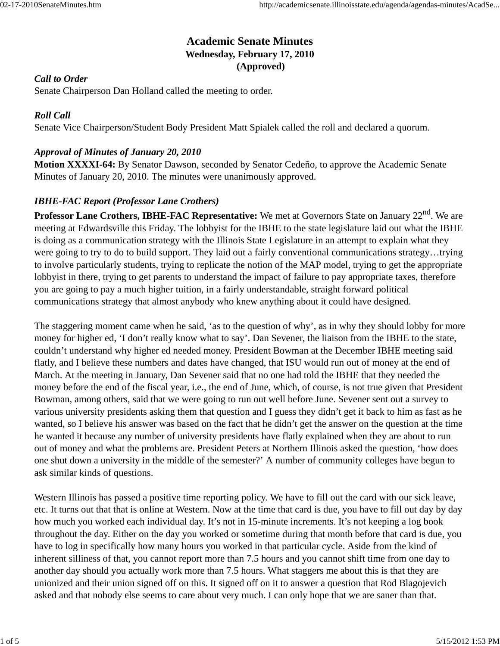# **Academic Senate Minutes Wednesday, February 17, 2010 (Approved)**

#### *Call to Order*

Senate Chairperson Dan Holland called the meeting to order.

#### *Roll Call*

Senate Vice Chairperson/Student Body President Matt Spialek called the roll and declared a quorum.

#### *Approval of Minutes of January 20, 2010*

**Motion XXXXI-64:** By Senator Dawson, seconded by Senator Cedeño, to approve the Academic Senate Minutes of January 20, 2010. The minutes were unanimously approved.

## *IBHE-FAC Report (Professor Lane Crothers)*

**Professor Lane Crothers, IBHE-FAC Representative:** We met at Governors State on January 22<sup>nd</sup>. We are meeting at Edwardsville this Friday. The lobbyist for the IBHE to the state legislature laid out what the IBHE is doing as a communication strategy with the Illinois State Legislature in an attempt to explain what they were going to try to do to build support. They laid out a fairly conventional communications strategy…trying to involve particularly students, trying to replicate the notion of the MAP model, trying to get the appropriate lobbyist in there, trying to get parents to understand the impact of failure to pay appropriate taxes, therefore you are going to pay a much higher tuition, in a fairly understandable, straight forward political communications strategy that almost anybody who knew anything about it could have designed.

The staggering moment came when he said, 'as to the question of why', as in why they should lobby for more money for higher ed, 'I don't really know what to say'. Dan Sevener, the liaison from the IBHE to the state, couldn't understand why higher ed needed money. President Bowman at the December IBHE meeting said flatly, and I believe these numbers and dates have changed, that ISU would run out of money at the end of March. At the meeting in January, Dan Sevener said that no one had told the IBHE that they needed the money before the end of the fiscal year, i.e., the end of June, which, of course, is not true given that President Bowman, among others, said that we were going to run out well before June. Sevener sent out a survey to various university presidents asking them that question and I guess they didn't get it back to him as fast as he wanted, so I believe his answer was based on the fact that he didn't get the answer on the question at the time he wanted it because any number of university presidents have flatly explained when they are about to run out of money and what the problems are. President Peters at Northern Illinois asked the question, 'how does one shut down a university in the middle of the semester?' A number of community colleges have begun to ask similar kinds of questions.

Western Illinois has passed a positive time reporting policy. We have to fill out the card with our sick leave, etc. It turns out that that is online at Western. Now at the time that card is due, you have to fill out day by day how much you worked each individual day. It's not in 15-minute increments. It's not keeping a log book throughout the day. Either on the day you worked or sometime during that month before that card is due, you have to log in specifically how many hours you worked in that particular cycle. Aside from the kind of inherent silliness of that, you cannot report more than 7.5 hours and you cannot shift time from one day to another day should you actually work more than 7.5 hours. What staggers me about this is that they are unionized and their union signed off on this. It signed off on it to answer a question that Rod Blagojevich asked and that nobody else seems to care about very much. I can only hope that we are saner than that.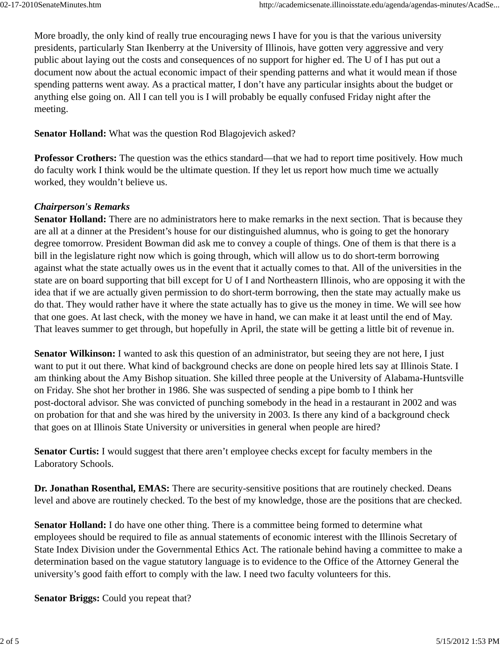More broadly, the only kind of really true encouraging news I have for you is that the various university presidents, particularly Stan Ikenberry at the University of Illinois, have gotten very aggressive and very public about laying out the costs and consequences of no support for higher ed. The U of I has put out a document now about the actual economic impact of their spending patterns and what it would mean if those spending patterns went away. As a practical matter, I don't have any particular insights about the budget or anything else going on. All I can tell you is I will probably be equally confused Friday night after the meeting.

**Senator Holland:** What was the question Rod Blagojevich asked?

**Professor Crothers:** The question was the ethics standard—that we had to report time positively. How much do faculty work I think would be the ultimate question. If they let us report how much time we actually worked, they wouldn't believe us.

## *Chairperson's Remarks*

**Senator Holland:** There are no administrators here to make remarks in the next section. That is because they are all at a dinner at the President's house for our distinguished alumnus, who is going to get the honorary degree tomorrow. President Bowman did ask me to convey a couple of things. One of them is that there is a bill in the legislature right now which is going through, which will allow us to do short-term borrowing against what the state actually owes us in the event that it actually comes to that. All of the universities in the state are on board supporting that bill except for U of I and Northeastern Illinois, who are opposing it with the idea that if we are actually given permission to do short-term borrowing, then the state may actually make us do that. They would rather have it where the state actually has to give us the money in time. We will see how that one goes. At last check, with the money we have in hand, we can make it at least until the end of May. That leaves summer to get through, but hopefully in April, the state will be getting a little bit of revenue in.

**Senator Wilkinson:** I wanted to ask this question of an administrator, but seeing they are not here, I just want to put it out there. What kind of background checks are done on people hired lets say at Illinois State. I am thinking about the Amy Bishop situation. She killed three people at the University of Alabama-Huntsville on Friday. She shot her brother in 1986. She was suspected of sending a pipe bomb to I think her post-doctoral advisor. She was convicted of punching somebody in the head in a restaurant in 2002 and was on probation for that and she was hired by the university in 2003. Is there any kind of a background check that goes on at Illinois State University or universities in general when people are hired?

**Senator Curtis:** I would suggest that there aren't employee checks except for faculty members in the Laboratory Schools.

**Dr. Jonathan Rosenthal, EMAS:** There are security-sensitive positions that are routinely checked. Deans level and above are routinely checked. To the best of my knowledge, those are the positions that are checked.

**Senator Holland:** I do have one other thing. There is a committee being formed to determine what employees should be required to file as annual statements of economic interest with the Illinois Secretary of State Index Division under the Governmental Ethics Act. The rationale behind having a committee to make a determination based on the vague statutory language is to evidence to the Office of the Attorney General the university's good faith effort to comply with the law. I need two faculty volunteers for this.

**Senator Briggs:** Could you repeat that?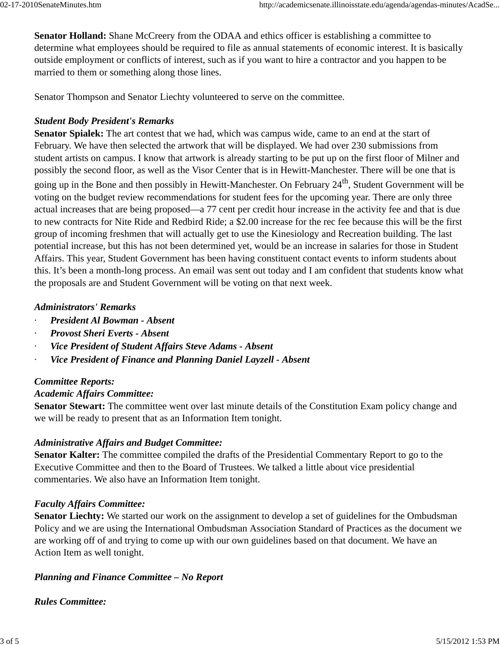**Senator Holland:** Shane McCreery from the ODAA and ethics officer is establishing a committee to determine what employees should be required to file as annual statements of economic interest. It is basically outside employment or conflicts of interest, such as if you want to hire a contractor and you happen to be married to them or something along those lines.

Senator Thompson and Senator Liechty volunteered to serve on the committee.

## *Student Body President's Remarks*

**Senator Spialek:** The art contest that we had, which was campus wide, came to an end at the start of February. We have then selected the artwork that will be displayed. We had over 230 submissions from student artists on campus. I know that artwork is already starting to be put up on the first floor of Milner and possibly the second floor, as well as the Visor Center that is in Hewitt-Manchester. There will be one that is going up in the Bone and then possibly in Hewitt-Manchester. On February 24<sup>th</sup>, Student Government will be voting on the budget review recommendations for student fees for the upcoming year. There are only three actual increases that are being proposed—a 77 cent per credit hour increase in the activity fee and that is due to new contracts for Nite Ride and Redbird Ride; a \$2.00 increase for the rec fee because this will be the first group of incoming freshmen that will actually get to use the Kinesiology and Recreation building. The last potential increase, but this has not been determined yet, would be an increase in salaries for those in Student Affairs. This year, Student Government has been having constituent contact events to inform students about this. It's been a month-long process. An email was sent out today and I am confident that students know what the proposals are and Student Government will be voting on that next week.

## *Administrators' Remarks*

- · *President Al Bowman Absent*
- · *Provost Sheri Everts Absent*
- · *Vice President of Student Affairs Steve Adams Absent*
- · *Vice President of Finance and Planning Daniel Layzell Absent*

## *Committee Reports:*

## *Academic Affairs Committee:*

**Senator Stewart:** The committee went over last minute details of the Constitution Exam policy change and we will be ready to present that as an Information Item tonight.

# *Administrative Affairs and Budget Committee:*

**Senator Kalter:** The committee compiled the drafts of the Presidential Commentary Report to go to the Executive Committee and then to the Board of Trustees. We talked a little about vice presidential commentaries. We also have an Information Item tonight.

## *Faculty Affairs Committee:*

**Senator Liechty:** We started our work on the assignment to develop a set of guidelines for the Ombudsman Policy and we are using the International Ombudsman Association Standard of Practices as the document we are working off of and trying to come up with our own guidelines based on that document. We have an Action Item as well tonight.

# *Planning and Finance Committee – No Report*

*Rules Committee:*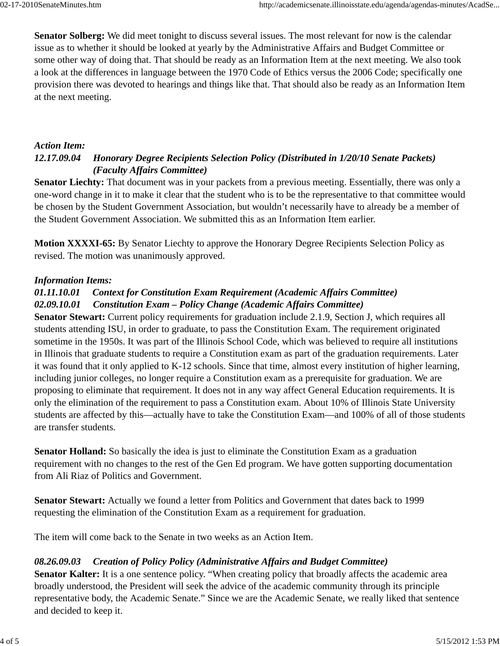**Senator Solberg:** We did meet tonight to discuss several issues. The most relevant for now is the calendar issue as to whether it should be looked at yearly by the Administrative Affairs and Budget Committee or some other way of doing that. That should be ready as an Information Item at the next meeting. We also took a look at the differences in language between the 1970 Code of Ethics versus the 2006 Code; specifically one provision there was devoted to hearings and things like that. That should also be ready as an Information Item at the next meeting.

#### *Action Item:*

# *12.17.09.04 Honorary Degree Recipients Selection Policy (Distributed in 1/20/10 Senate Packets) (Faculty Affairs Committee)*

**Senator Liechty:** That document was in your packets from a previous meeting. Essentially, there was only a one-word change in it to make it clear that the student who is to be the representative to that committee would be chosen by the Student Government Association, but wouldn't necessarily have to already be a member of the Student Government Association. We submitted this as an Information Item earlier.

**Motion XXXXI-65:** By Senator Liechty to approve the Honorary Degree Recipients Selection Policy as revised. The motion was unanimously approved.

#### *Information Items:*

## *01.11.10.01 Context for Constitution Exam Requirement (Academic Affairs Committee) 02.09.10.01 Constitution Exam – Policy Change (Academic Affairs Committee)*

**Senator Stewart:** Current policy requirements for graduation include 2.1.9, Section J, which requires all students attending ISU, in order to graduate, to pass the Constitution Exam. The requirement originated sometime in the 1950s. It was part of the Illinois School Code, which was believed to require all institutions in Illinois that graduate students to require a Constitution exam as part of the graduation requirements. Later it was found that it only applied to K-12 schools. Since that time, almost every institution of higher learning, including junior colleges, no longer require a Constitution exam as a prerequisite for graduation. We are proposing to eliminate that requirement. It does not in any way affect General Education requirements. It is only the elimination of the requirement to pass a Constitution exam. About 10% of Illinois State University students are affected by this—actually have to take the Constitution Exam—and 100% of all of those students are transfer students.

**Senator Holland:** So basically the idea is just to eliminate the Constitution Exam as a graduation requirement with no changes to the rest of the Gen Ed program. We have gotten supporting documentation from Ali Riaz of Politics and Government.

**Senator Stewart:** Actually we found a letter from Politics and Government that dates back to 1999 requesting the elimination of the Constitution Exam as a requirement for graduation.

The item will come back to the Senate in two weeks as an Action Item.

#### *08.26.09.03 Creation of Policy Policy (Administrative Affairs and Budget Committee)*

**Senator Kalter:** It is a one sentence policy. "When creating policy that broadly affects the academic area broadly understood, the President will seek the advice of the academic community through its principle representative body, the Academic Senate." Since we are the Academic Senate, we really liked that sentence and decided to keep it.